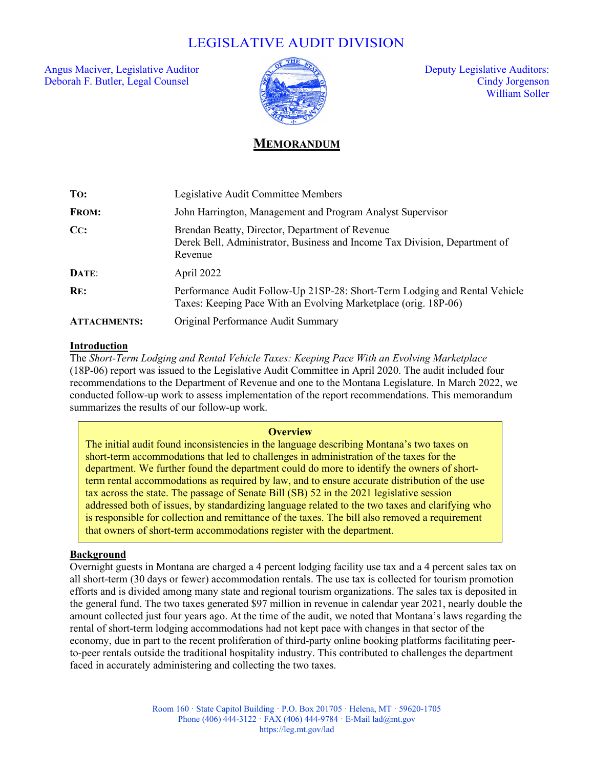# LEGISLATIVE AUDIT DIVISION

Angus Maciver, Legislative Auditor  $\sqrt{2}$  and  $\sqrt{2}$  Deputy Legislative Auditors: Deborah F. Butler, Legal Counsel Cindy Jorgenson



William Soller

## **MEMORANDUM**

| To:                 | Legislative Audit Committee Members                                                                                                           |
|---------------------|-----------------------------------------------------------------------------------------------------------------------------------------------|
| <b>FROM:</b>        | John Harrington, Management and Program Analyst Supervisor                                                                                    |
| CC:                 | Brendan Beatty, Director, Department of Revenue<br>Derek Bell, Administrator, Business and Income Tax Division, Department of<br>Revenue      |
| DATE:               | April 2022                                                                                                                                    |
| RE:                 | Performance Audit Follow-Up 21SP-28: Short-Term Lodging and Rental Vehicle<br>Taxes: Keeping Pace With an Evolving Marketplace (orig. 18P-06) |
| <b>ATTACHMENTS:</b> | Original Performance Audit Summary                                                                                                            |

## **Introduction**

The *Short-Term Lodging and Rental Vehicle Taxes: Keeping Pace With an Evolving Marketplace* (18P-06) report was issued to the Legislative Audit Committee in April 2020. The audit included four recommendations to the Department of Revenue and one to the Montana Legislature. In March 2022, we conducted follow-up work to assess implementation of the report recommendations. This memorandum summarizes the results of our follow-up work.

#### **Overview**

The initial audit found inconsistencies in the language describing Montana's two taxes on short-term accommodations that led to challenges in administration of the taxes for the department. We further found the department could do more to identify the owners of shortterm rental accommodations as required by law, and to ensure accurate distribution of the use tax across the state. The passage of Senate Bill (SB) 52 in the 2021 legislative session addressed both of issues, by standardizing language related to the two taxes and clarifying who is responsible for collection and remittance of the taxes. The bill also removed a requirement that owners of short-term accommodations register with the department.

#### **Background**

Overnight guests in Montana are charged a 4 percent lodging facility use tax and a 4 percent sales tax on all short-term (30 days or fewer) accommodation rentals. The use tax is collected for tourism promotion efforts and is divided among many state and regional tourism organizations. The sales tax is deposited in the general fund. The two taxes generated \$97 million in revenue in calendar year 2021, nearly double the amount collected just four years ago. At the time of the audit, we noted that Montana's laws regarding the rental of short-term lodging accommodations had not kept pace with changes in that sector of the economy, due in part to the recent proliferation of third-party online booking platforms facilitating peerto-peer rentals outside the traditional hospitality industry. This contributed to challenges the department faced in accurately administering and collecting the two taxes.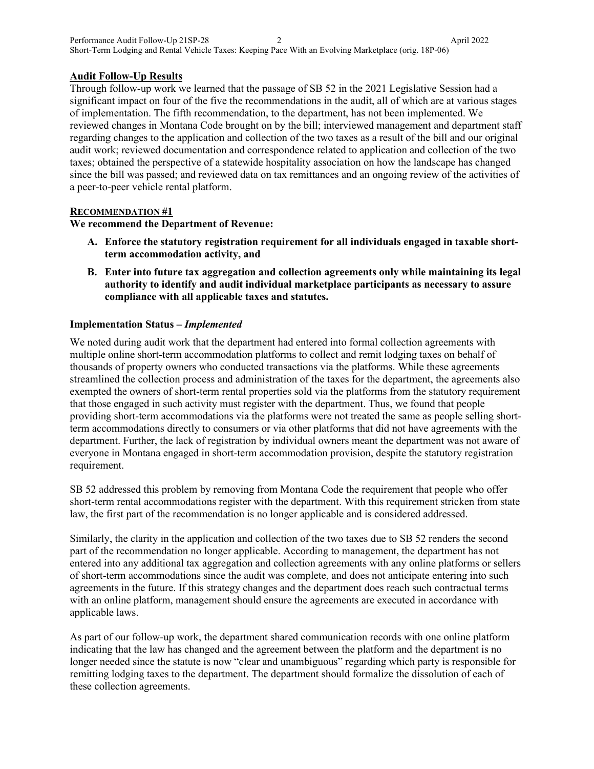## **Audit Follow-Up Results**

Through follow-up work we learned that the passage of SB 52 in the 2021 Legislative Session had a significant impact on four of the five the recommendations in the audit, all of which are at various stages of implementation. The fifth recommendation, to the department, has not been implemented. We reviewed changes in Montana Code brought on by the bill; interviewed management and department staff regarding changes to the application and collection of the two taxes as a result of the bill and our original audit work; reviewed documentation and correspondence related to application and collection of the two taxes; obtained the perspective of a statewide hospitality association on how the landscape has changed since the bill was passed; and reviewed data on tax remittances and an ongoing review of the activities of a peer-to-peer vehicle rental platform.

## **RECOMMENDATION #1**

**We recommend the Department of Revenue:**

- **A. Enforce the statutory registration requirement for all individuals engaged in taxable shortterm accommodation activity, and**
- **B. Enter into future tax aggregation and collection agreements only while maintaining its legal authority to identify and audit individual marketplace participants as necessary to assure compliance with all applicable taxes and statutes.**

## **Implementation Status –** *Implemented*

We noted during audit work that the department had entered into formal collection agreements with multiple online short-term accommodation platforms to collect and remit lodging taxes on behalf of thousands of property owners who conducted transactions via the platforms. While these agreements streamlined the collection process and administration of the taxes for the department, the agreements also exempted the owners of short-term rental properties sold via the platforms from the statutory requirement that those engaged in such activity must register with the department. Thus, we found that people providing short-term accommodations via the platforms were not treated the same as people selling shortterm accommodations directly to consumers or via other platforms that did not have agreements with the department. Further, the lack of registration by individual owners meant the department was not aware of everyone in Montana engaged in short-term accommodation provision, despite the statutory registration requirement.

SB 52 addressed this problem by removing from Montana Code the requirement that people who offer short-term rental accommodations register with the department. With this requirement stricken from state law, the first part of the recommendation is no longer applicable and is considered addressed.

Similarly, the clarity in the application and collection of the two taxes due to SB 52 renders the second part of the recommendation no longer applicable. According to management, the department has not entered into any additional tax aggregation and collection agreements with any online platforms or sellers of short-term accommodations since the audit was complete, and does not anticipate entering into such agreements in the future. If this strategy changes and the department does reach such contractual terms with an online platform, management should ensure the agreements are executed in accordance with applicable laws.

As part of our follow-up work, the department shared communication records with one online platform indicating that the law has changed and the agreement between the platform and the department is no longer needed since the statute is now "clear and unambiguous" regarding which party is responsible for remitting lodging taxes to the department. The department should formalize the dissolution of each of these collection agreements.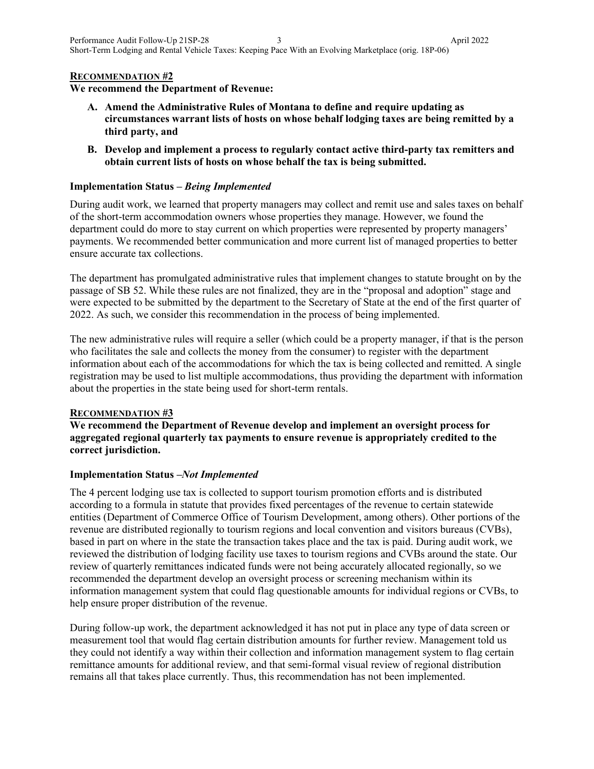**We recommend the Department of Revenue:**

- **A. Amend the Administrative Rules of Montana to define and require updating as circumstances warrant lists of hosts on whose behalf lodging taxes are being remitted by a third party, and**
- **B. Develop and implement a process to regularly contact active third-party tax remitters and obtain current lists of hosts on whose behalf the tax is being submitted.**

## **Implementation Status –** *Being Implemented*

During audit work, we learned that property managers may collect and remit use and sales taxes on behalf of the short-term accommodation owners whose properties they manage. However, we found the department could do more to stay current on which properties were represented by property managers' payments. We recommended better communication and more current list of managed properties to better ensure accurate tax collections.

The department has promulgated administrative rules that implement changes to statute brought on by the passage of SB 52. While these rules are not finalized, they are in the "proposal and adoption" stage and were expected to be submitted by the department to the Secretary of State at the end of the first quarter of 2022. As such, we consider this recommendation in the process of being implemented.

The new administrative rules will require a seller (which could be a property manager, if that is the person who facilitates the sale and collects the money from the consumer) to register with the department information about each of the accommodations for which the tax is being collected and remitted. A single registration may be used to list multiple accommodations, thus providing the department with information about the properties in the state being used for short-term rentals.

#### **RECOMMENDATION #3**

**We recommend the Department of Revenue develop and implement an oversight process for aggregated regional quarterly tax payments to ensure revenue is appropriately credited to the correct jurisdiction.**

#### **Implementation Status –***Not Implemented*

The 4 percent lodging use tax is collected to support tourism promotion efforts and is distributed according to a formula in statute that provides fixed percentages of the revenue to certain statewide entities (Department of Commerce Office of Tourism Development, among others). Other portions of the revenue are distributed regionally to tourism regions and local convention and visitors bureaus (CVBs), based in part on where in the state the transaction takes place and the tax is paid. During audit work, we reviewed the distribution of lodging facility use taxes to tourism regions and CVBs around the state. Our review of quarterly remittances indicated funds were not being accurately allocated regionally, so we recommended the department develop an oversight process or screening mechanism within its information management system that could flag questionable amounts for individual regions or CVBs, to help ensure proper distribution of the revenue.

During follow-up work, the department acknowledged it has not put in place any type of data screen or measurement tool that would flag certain distribution amounts for further review. Management told us they could not identify a way within their collection and information management system to flag certain remittance amounts for additional review, and that semi-formal visual review of regional distribution remains all that takes place currently. Thus, this recommendation has not been implemented.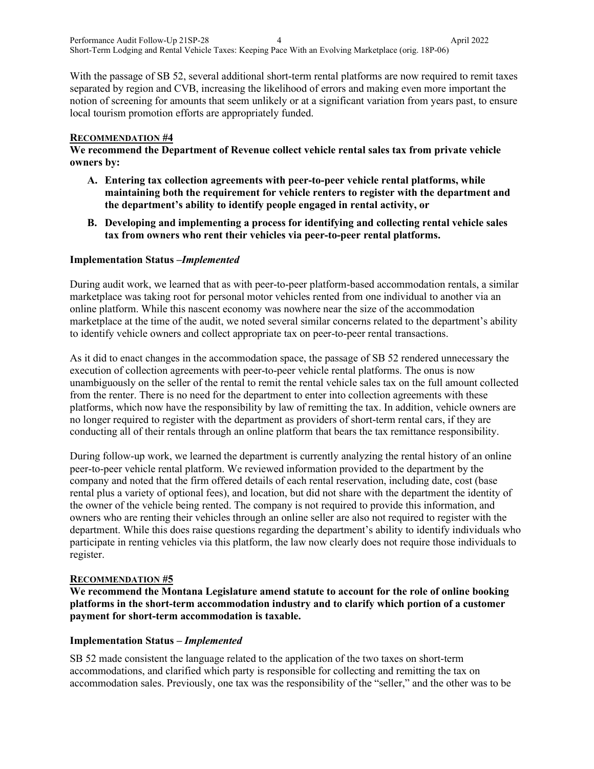With the passage of SB 52, several additional short-term rental platforms are now required to remit taxes separated by region and CVB, increasing the likelihood of errors and making even more important the notion of screening for amounts that seem unlikely or at a significant variation from years past, to ensure local tourism promotion efforts are appropriately funded.

## **RECOMMENDATION #4**

**We recommend the Department of Revenue collect vehicle rental sales tax from private vehicle owners by:**

- **A. Entering tax collection agreements with peer-to-peer vehicle rental platforms, while maintaining both the requirement for vehicle renters to register with the department and the department's ability to identify people engaged in rental activity, or**
- **B. Developing and implementing a process for identifying and collecting rental vehicle sales tax from owners who rent their vehicles via peer-to-peer rental platforms.**

## **Implementation Status –***Implemented*

During audit work, we learned that as with peer-to-peer platform-based accommodation rentals, a similar marketplace was taking root for personal motor vehicles rented from one individual to another via an online platform. While this nascent economy was nowhere near the size of the accommodation marketplace at the time of the audit, we noted several similar concerns related to the department's ability to identify vehicle owners and collect appropriate tax on peer-to-peer rental transactions.

As it did to enact changes in the accommodation space, the passage of SB 52 rendered unnecessary the execution of collection agreements with peer-to-peer vehicle rental platforms. The onus is now unambiguously on the seller of the rental to remit the rental vehicle sales tax on the full amount collected from the renter. There is no need for the department to enter into collection agreements with these platforms, which now have the responsibility by law of remitting the tax. In addition, vehicle owners are no longer required to register with the department as providers of short-term rental cars, if they are conducting all of their rentals through an online platform that bears the tax remittance responsibility.

During follow-up work, we learned the department is currently analyzing the rental history of an online peer-to-peer vehicle rental platform. We reviewed information provided to the department by the company and noted that the firm offered details of each rental reservation, including date, cost (base rental plus a variety of optional fees), and location, but did not share with the department the identity of the owner of the vehicle being rented. The company is not required to provide this information, and owners who are renting their vehicles through an online seller are also not required to register with the department. While this does raise questions regarding the department's ability to identify individuals who participate in renting vehicles via this platform, the law now clearly does not require those individuals to register.

#### **RECOMMENDATION #5**

**We recommend the Montana Legislature amend statute to account for the role of online booking platforms in the short-term accommodation industry and to clarify which portion of a customer payment for short-term accommodation is taxable.**

## **Implementation Status –** *Implemented*

SB 52 made consistent the language related to the application of the two taxes on short-term accommodations, and clarified which party is responsible for collecting and remitting the tax on accommodation sales. Previously, one tax was the responsibility of the "seller," and the other was to be